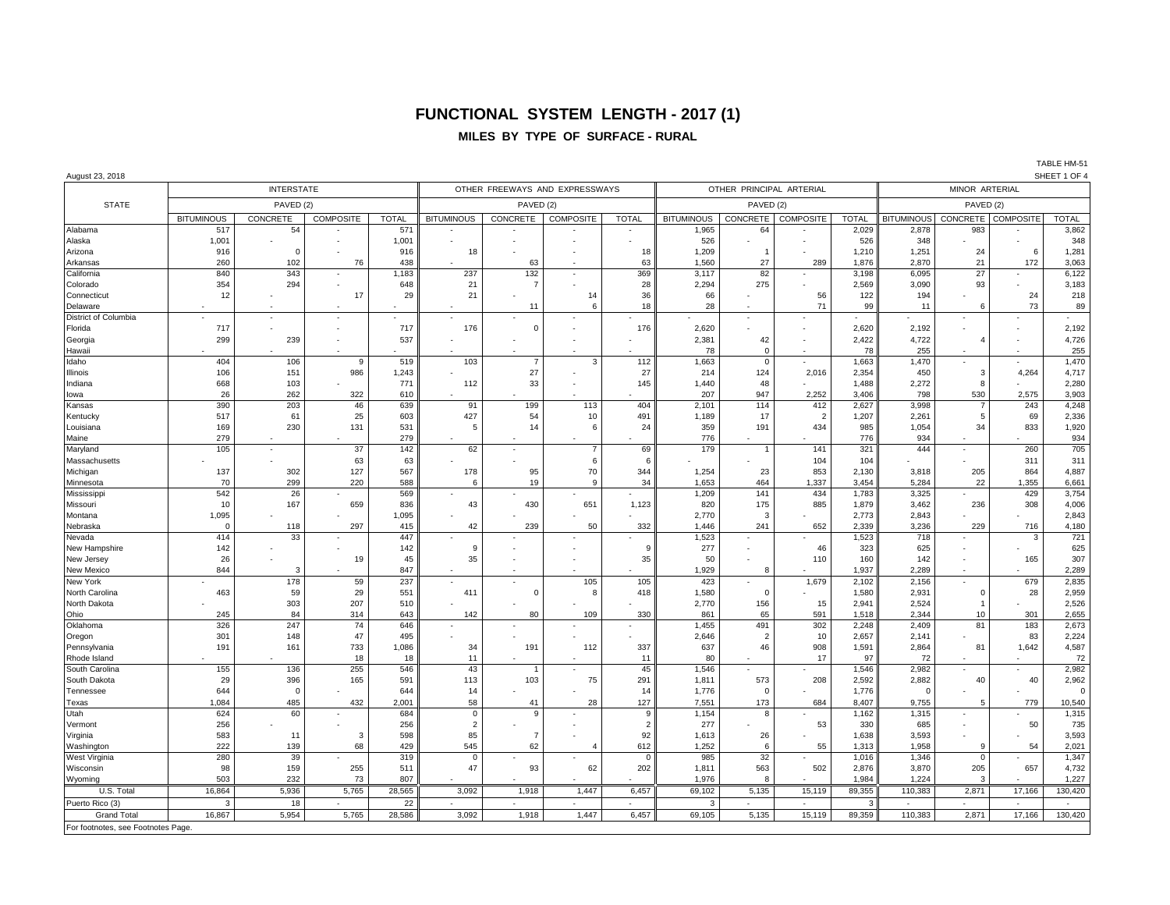# **FUNCTIONAL SYSTEM LENGTH - 2017 (1)**

## **MILES BY TYPE OF SURFACE - RURAL**

TABLE HM-51<br>SHEET 1 OF 4

| August 23, 2018                   |                   |                   |                          |              |                                |                          |                  |                |                          |                      |                  |                |                   |                          |                                                                                                                                                                                                                                                             | SHEET 1 OF 4   |
|-----------------------------------|-------------------|-------------------|--------------------------|--------------|--------------------------------|--------------------------|------------------|----------------|--------------------------|----------------------|------------------|----------------|-------------------|--------------------------|-------------------------------------------------------------------------------------------------------------------------------------------------------------------------------------------------------------------------------------------------------------|----------------|
|                                   |                   | <b>INTERSTATE</b> |                          |              | OTHER FREEWAYS AND EXPRESSWAYS |                          |                  |                | OTHER PRINCIPAL ARTERIAL | MINOR ARTERIAL       |                  |                |                   |                          |                                                                                                                                                                                                                                                             |                |
| <b>STATE</b>                      |                   | PAVED (2)         |                          | PAVED (2)    |                                |                          |                  |                | PAVED (2)                |                      | PAVED (2)        |                |                   |                          |                                                                                                                                                                                                                                                             |                |
|                                   | <b>BITUMINOUS</b> | CONCRETE          | <b>COMPOSITE</b>         | <b>TOTAL</b> | <b>BITUMINOUS</b>              | <b>CONCRETE</b>          | <b>COMPOSITE</b> | <b>TOTAL</b>   | <b>BITUMINOUS</b>        | CONCRETE             | <b>COMPOSITE</b> | <b>TOTAL</b>   | <b>BITUMINOUS</b> |                          | CONCRETE COMPOSITE<br>6<br>172<br>24<br>73<br>4,264<br>2,575<br>243<br>69<br>833<br>260<br>311<br>864<br>1,355<br>429<br>308<br>716<br>3<br>165<br>679<br>28<br>301<br>183<br>83<br>1.642<br>40<br>779<br>50<br>54<br>657<br>17,166<br>$\epsilon$<br>17,166 | <b>TOTAL</b>   |
| Alabama                           | 517               | 54                |                          | 571          |                                |                          |                  |                | 1,965                    | 64                   |                  | 2,029          | 2,878             | 983                      |                                                                                                                                                                                                                                                             | 3,862          |
| Alaska                            | 1,001             |                   |                          | 1,001        |                                |                          |                  |                | 526                      |                      |                  | 526            | 348               |                          |                                                                                                                                                                                                                                                             | 348            |
| Arizona                           | 916               | $\Omega$          |                          | 916          | 18                             |                          |                  | 18             | 1,209                    |                      |                  | 1,210          | 1,251             | 24                       |                                                                                                                                                                                                                                                             | 1,281          |
| Arkansas                          | 260               | 102               | 76                       | 438          |                                | 63                       |                  | 63             | 1,560                    | 27                   | 289              | 1,876          | 2,870             | 21                       |                                                                                                                                                                                                                                                             | 3,063          |
| California                        | 840               | 343               |                          | 1,183        | 237                            | 132                      |                  | 369            | 3,117                    | 82                   |                  | 3,198          | 6,095             | 27                       |                                                                                                                                                                                                                                                             | 6,122          |
| Colorado                          | 354               | 294               |                          | 648          | 21                             | $\overline{7}$           |                  | 28             | 2,294                    | 275                  |                  | 2,569          | 3,090             | 93                       |                                                                                                                                                                                                                                                             | 3,183          |
| Connecticut                       | 12                |                   | 17                       | 29           | 21                             |                          | 14               | 36             | 66                       |                      | 56               | 122            | 194               |                          |                                                                                                                                                                                                                                                             | 218            |
| Delaware                          |                   |                   |                          |              |                                | 11                       | 6                | 18             | 28                       |                      | 71               | 99             | 11                | 6                        |                                                                                                                                                                                                                                                             | 89             |
| District of Columbia              |                   |                   |                          |              |                                |                          |                  |                |                          |                      |                  |                |                   |                          |                                                                                                                                                                                                                                                             |                |
| Florida                           | 717               |                   |                          | 717          | 176                            | $\mathbf 0$              |                  | 176            | 2,620                    |                      |                  | 2,620          | 2,192             |                          |                                                                                                                                                                                                                                                             | 2,192          |
| Georgia                           | 299               | 239               |                          | 537          |                                |                          |                  |                | 2,381                    | 42                   |                  | 2,422          | 4,722             | 4                        |                                                                                                                                                                                                                                                             | 4,726          |
| Hawaii                            |                   |                   |                          |              |                                |                          |                  |                | 78                       | $\Omega$             |                  | 78             | 255               |                          |                                                                                                                                                                                                                                                             | 255            |
| Idaho                             | 404               | 106               | 9                        | 519          | 103                            | $\overline{7}$           | 3                | 112            | 1,663                    | $\mathbf 0$          |                  | 1,663          | 1,470             | ÷,                       |                                                                                                                                                                                                                                                             | 1,470          |
| <b>Ilinois</b>                    | 106               | 151               | 986                      | 1,243        |                                | 27                       |                  | 27             | 214                      | 124                  | 2.016            | 2,354          | 450               | 3                        |                                                                                                                                                                                                                                                             | 4,717          |
| ndiana                            | 668               | 103               |                          | 771          | 112                            | 33                       |                  | 145            | 1.440                    | 48                   |                  | 1.488          | 2,272             | 8                        |                                                                                                                                                                                                                                                             | 2,280          |
| lowa                              | 26                | 262               | 322                      | 610          |                                |                          |                  |                | 207                      | 947                  | 2,252            | 3,406          | 798               | 530                      |                                                                                                                                                                                                                                                             | 3,903          |
| Kansas                            | 390               | 203               | 46                       | 639          | 91                             | 199                      | 113              | 404            | 2,101                    | 114                  | 412              | 2,627          | 3,998             | $\overline{7}$           |                                                                                                                                                                                                                                                             | 4,248          |
| Kentucky                          | 517               | 61                | 25                       | 603          | 427                            | 54                       | 10               | 491            | 1,189                    | 17                   | $\overline{2}$   | 1,207          | 2,261             | 5                        |                                                                                                                                                                                                                                                             | 2,336          |
| Louisiana                         | 169<br>279        | 230               | 131                      | 531<br>279   | 5                              | 14                       | 6                | 24             | 359<br>776               | 191                  | 434              | 985            | 1,054<br>934      | 34                       |                                                                                                                                                                                                                                                             | 1,920          |
| Maine<br>Maryland                 | 105               | $\sim$            | 37                       | 142          | 62                             | $\sim$                   | $\overline{7}$   | 69             | 179                      |                      | 141              | 776<br>321     | 444               | $\overline{\phantom{a}}$ |                                                                                                                                                                                                                                                             | 934<br>705     |
| Massachusetts                     |                   |                   | 63                       | 63           |                                |                          | 6                | 6              |                          |                      | 104              | 104            |                   |                          |                                                                                                                                                                                                                                                             | 311            |
| Michigan                          | 137               | 302               | 127                      | 567          | 178                            | 95                       | 70               | 344            | 1,254                    | 23                   | 853              | 2,130          | 3,818             | 205                      |                                                                                                                                                                                                                                                             | 4,887          |
| Minnesota                         | 70                | 299               | 220                      | 588          | 6                              | 19                       | 9                | 34             | 1,653                    | 464                  | 1,337            | 3,454          | 5,284             | 22                       |                                                                                                                                                                                                                                                             | 6,661          |
| Mississippi                       | 542               | 26                |                          | 569          |                                |                          |                  |                | 1,209                    | 141                  | 434              | 1,783          | 3,325             |                          |                                                                                                                                                                                                                                                             | 3,754          |
| Missouri                          | 10                | 167               | 659                      | 836          | 43                             | 430                      | 651              | 1,123          | 820                      | 175                  | 885              | 1,879          | 3,462             | 236                      |                                                                                                                                                                                                                                                             | 4,006          |
| Montana                           | 1,095             |                   |                          | 1,095        |                                |                          |                  |                | 2.770                    | 3                    |                  | 2,773          | 2,843             |                          |                                                                                                                                                                                                                                                             | 2,843          |
| Nebraska                          | $\Omega$          | 118               | 297                      | 415          | 42                             | 239                      | 50               | 332            | 1,446                    | 241                  | 652              | 2,339          | 3,236             | 229                      |                                                                                                                                                                                                                                                             | 4,180          |
| Nevada                            | 414               | 33                |                          | 447          |                                |                          |                  |                | 1,523                    |                      |                  | 1,523          | 718               |                          |                                                                                                                                                                                                                                                             | 721            |
| New Hampshire                     | 142               |                   |                          | 142          | 9                              |                          |                  | 9              | 277                      |                      | 46               | 323            | 625               |                          |                                                                                                                                                                                                                                                             | 625            |
| New Jersey                        | 26                |                   | 19                       | 45           | 35                             |                          |                  | 35             | 50                       |                      | 110              | 160            | 142               |                          |                                                                                                                                                                                                                                                             | 307            |
| New Mexico                        | 844               | ß,                |                          | 847          |                                |                          |                  |                | 1.929                    | 8                    |                  | 1.937          | 2.289             |                          |                                                                                                                                                                                                                                                             | 2,289          |
| New York                          |                   | 178               | 59                       | 237          |                                |                          | 105              | 105            | 423                      |                      | 1,679            | 2,102          | 2,156             | ä,                       |                                                                                                                                                                                                                                                             | 2,835          |
| North Carolina                    | 463               | 59                | 29                       | 551          | 411                            | $\mathbf 0$              | ε                | 418            | 1,580                    | $\mathbf 0$          |                  | 1,580          | 2,931             | $\mathbf 0$              |                                                                                                                                                                                                                                                             | 2,959          |
| North Dakota                      |                   | 303               | 207                      | 510          |                                |                          |                  |                | 2,770                    | 156                  | 15               | 2,941          | 2,524             | $\mathbf{1}$             |                                                                                                                                                                                                                                                             | 2,526          |
| Ohio                              | 245               | 84                | 314                      | 643          | 142                            | 80                       | 109              | 330            | 861                      | 65                   | 591              | 1,518          | 2,344             | 10                       |                                                                                                                                                                                                                                                             | 2,655          |
| Oklahoma                          | 326               | 247<br>148        | 74<br>47                 | 646          |                                |                          |                  |                | 1,455                    | 491                  | 302              | 2,248          | 2,409             | 81                       |                                                                                                                                                                                                                                                             | 2,673          |
| Oregon                            | 301<br>191        | 161               | 733                      | 495<br>1,086 | 34                             | 191                      | 112              | 337            | 2,646<br>637             | $\overline{2}$<br>46 | 10<br>908        | 2,657<br>1,591 | 2,141<br>2,864    | 81                       |                                                                                                                                                                                                                                                             | 2,224<br>4,587 |
| Pennsylvania<br>Rhode Island      |                   |                   | 18                       | 18           | 11                             |                          |                  | 11             | 80                       |                      | 17               | 97             | 72                |                          |                                                                                                                                                                                                                                                             | 72             |
| South Carolina                    | 155               | 136               | 255                      | 546          | 43                             |                          |                  | 45             | 1,546                    | $\sim$               |                  | 1,546          | 2,982             | ×,                       |                                                                                                                                                                                                                                                             | 2,982          |
| South Dakota                      | 29                | 396               | 165                      | 591          | 113                            | 103                      | 75               | 291            | 1,811                    | 573                  | 208              | 2,592          | 2,882             | 40                       |                                                                                                                                                                                                                                                             | 2,962          |
| Tennessee                         | 644               | $\overline{0}$    |                          | 644          | 14                             |                          |                  | 14             | 1,776                    | $\Omega$             |                  | 1,776          | $\mathbf 0$       |                          |                                                                                                                                                                                                                                                             | $\mathsf 0$    |
| Texas                             | 1,084             | 485               | 432                      | 2.001        | 58                             | 41                       | 28               | 127            | 7,551                    | 173                  | 684              | 8.407          | 9,755             | 5                        |                                                                                                                                                                                                                                                             | 10,540         |
| Utah                              | 624               | 60                |                          | 684          | $\Omega$                       | 9                        |                  | 9              | 1,154                    |                      |                  | 1,162          | 1,315             | ä,                       |                                                                                                                                                                                                                                                             | 1,315          |
| Vermont                           | 256               |                   |                          | 256          | $\overline{2}$                 |                          |                  | $\overline{2}$ | 277                      |                      | 53               | 330            | 685               |                          |                                                                                                                                                                                                                                                             | 735            |
| Virginia                          | 583               | 11                | 3                        | 598          | 85                             | $\overline{7}$           |                  | 92             | 1,613                    | 26                   |                  | 1,638          | 3,593             |                          |                                                                                                                                                                                                                                                             | 3,593          |
| Washington                        | 222               | 139               | 68                       | 429          | 545                            | 62                       | $\overline{4}$   | 612            | 1,252                    | 6                    | 55               | 1,313          | 1,958             | 9                        |                                                                                                                                                                                                                                                             | 2,021          |
| West Virginia                     | 280               | 39                |                          | 319          | $\mathbf 0$                    |                          |                  | $\Omega$       | 985                      | 32                   |                  | 1,016          | 1,346             | $\mathbf 0$              |                                                                                                                                                                                                                                                             | 1,347          |
| Wisconsin                         | 98                | 159               | 255                      | 511          | 47                             | 93                       | 62               | 202            | 1.811                    | 563                  | 502              | 2,876          | 3,870             | 205                      |                                                                                                                                                                                                                                                             | 4,732          |
| Wvomina                           | 503               | 232               | 73                       | 807          |                                |                          |                  |                | 1.976                    | $\mathbf{R}$         |                  | 1.984          | 1.224             | 3                        |                                                                                                                                                                                                                                                             | 1.227          |
| U.S. Total                        | 16,864            | 5,936             | 5,765                    | 28,565       | 3,092                          | 1,918                    | 1,447            | 6,457          | 69,102                   | 5,135                | 15,119           | 89,355         | 110,383           | 2,871                    |                                                                                                                                                                                                                                                             | 130,420        |
| Puerto Rico (3)                   | 3                 | 18                | $\overline{\phantom{a}}$ | 22           | ×,                             | $\overline{\phantom{a}}$ |                  |                | 3                        |                      |                  |                |                   | ×,                       |                                                                                                                                                                                                                                                             | $\epsilon$     |
| <b>Grand Total</b>                | 16,867            | 5,954             | 5,765                    | 28,586       | 3,092                          | 1,918                    | 1,447            | 6,457          | 69,105                   | 5,135                | 15,119           | 89,359         | 110,383           | 2,871                    |                                                                                                                                                                                                                                                             | 130,420        |
| For footnotes, see Footnotes Page |                   |                   |                          |              |                                |                          |                  |                |                          |                      |                  |                |                   |                          |                                                                                                                                                                                                                                                             |                |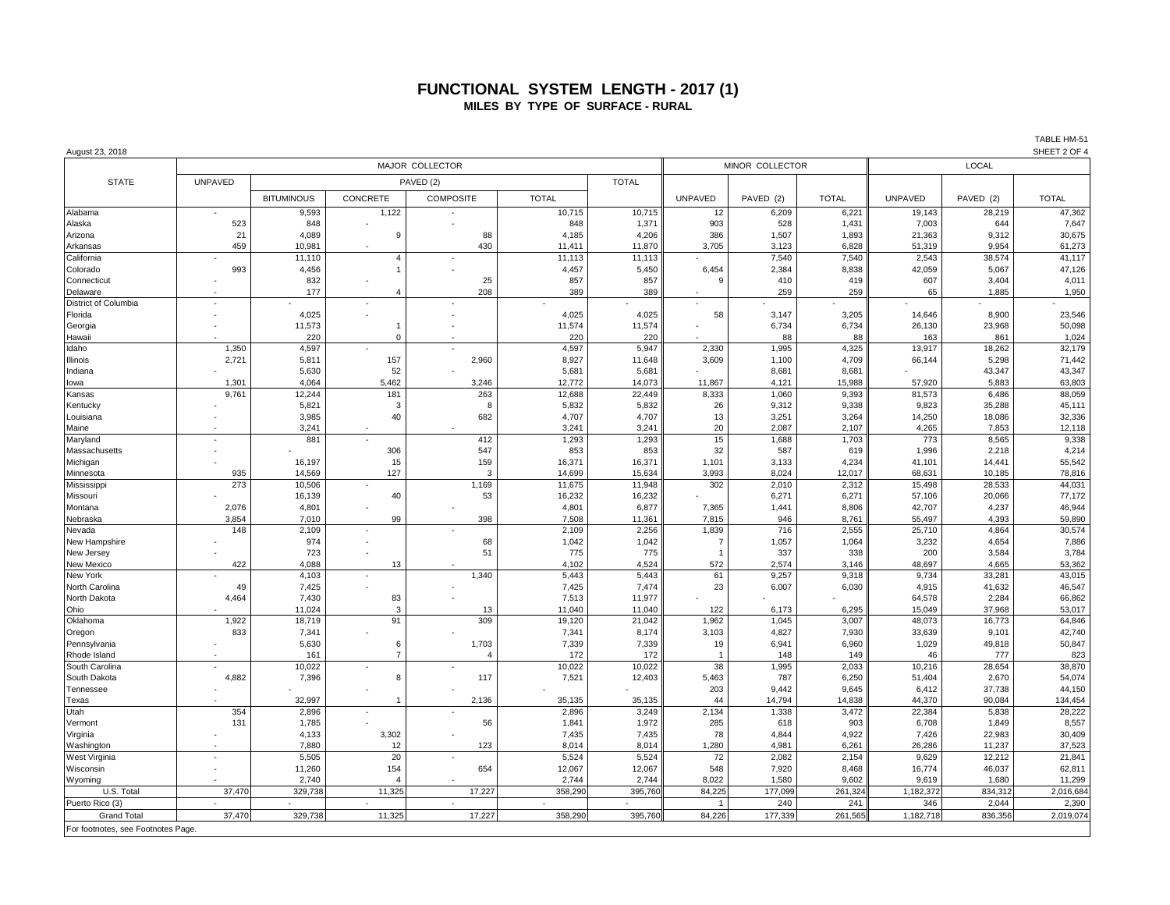### **FUNCTIONAL SYSTEM LENGTH - 2017 (1) MILES BY TYPE OF SURFACE - RURAL**

| August 23, 2018                    |                |                   |                |                          |                 |                  |                |           |              |                 |                 | SHEET 2 OF 4     |  |
|------------------------------------|----------------|-------------------|----------------|--------------------------|-----------------|------------------|----------------|-----------|--------------|-----------------|-----------------|------------------|--|
|                                    |                |                   |                |                          | MINOR COLLECTOR |                  | <b>LOCAL</b>   |           |              |                 |                 |                  |  |
| <b>STATE</b>                       | <b>UNPAVED</b> |                   |                | PAVED (2)                |                 | <b>TOTAL</b>     |                |           |              |                 |                 |                  |  |
|                                    |                | <b>BITUMINOUS</b> | CONCRETE       | <b>COMPOSITE</b>         | <b>TOTAL</b>    |                  | <b>UNPAVED</b> | PAVED (2) | <b>TOTAL</b> | <b>UNPAVED</b>  | PAVED (2)       | <b>TOTAL</b>     |  |
| Alabama                            |                | 9,593             | 1,122          |                          | 10,715          | 10,715           | 12             | 6,209     | 6,221        | 19,143          | 28,219          | 47,362           |  |
| Alaska                             | 523            | 848               |                |                          | 848             | 1,371            | 903            | 528       | 1,431        | 7,003           | 644             | 7,647            |  |
| Arizona                            | 21             | 4,089             | 9              | 88                       | 4,185           | 4,206            | 386            | 1,507     | 1,893        | 21,363          | 9,312           | 30,675           |  |
| Arkansas                           | 459            | 10,981            |                | 430                      | 11,411          | 11,870           | 3,705          | 3,123     | 6,828        | 51,319          | 9,954           | 61,273           |  |
| California                         |                | 11,110            | $\overline{4}$ |                          | 11,113          | 11,113           |                | 7,540     | 7,540        | 2,543           | 38,574          | 41,117           |  |
| Colorado                           | 993            | 4,456             | $\overline{1}$ |                          | 4,457           | 5,450            | 6,454          | 2,384     | 8,838        | 42,059          | 5,067           | 47,126           |  |
| Connecticut                        |                | 832               |                | 25                       | 857             | 857              | 9              | 410       | 419          | 607             | 3,404           | 4,011            |  |
| Delaware                           |                | 177               | $\overline{4}$ | 208                      | 389             | 389              |                | 259       | 259          | 65              | 1,885           | 1,950            |  |
| District of Columbia               |                |                   |                |                          |                 |                  |                |           |              |                 |                 |                  |  |
| Florida                            |                | 4,025             |                |                          | 4,025           | 4,025            | 58             | 3,147     | 3,205        | 14,646          | 8,900           | 23,546           |  |
| Georgia                            |                | 11,573            | 1              |                          | 11,574          | 11,574           |                | 6,734     | 6,734        | 26,130          | 23,968          | 50,098           |  |
| Hawaii                             |                | 220               | $\Omega$       |                          | 220             | 220              |                | 88        | 88           | 163             | 861             | 1,024            |  |
| Idaho                              | 1,350          | 4,597             |                |                          | 4,597           | 5,947            | 2,330          | 1,995     | 4,325        | 13,917          | 18,262          | 32,179           |  |
| Illinois                           | 2,721          | 5,811             | 157            | 2,960                    | 8,927           | 11,648           | 3,609          | 1,100     | 4,709        | 66,144          | 5,298           | 71,442           |  |
| Indiana                            |                | 5,630             | 52             |                          | 5,681           | 5,681            |                | 8,681     | 8,681        |                 | 43,347          | 43,347           |  |
| lowa                               | 1,301          | 4,064             | 5,462          | 3,246                    | 12,772          | 14,073           | 11,867         | 4,121     | 15,988       | 57,920          | 5,883           | 63,803           |  |
| Kansas                             | 9,761          | 12,244            | 181            | 263                      | 12,688          | 22,449           | 8,333          | 1,060     | 9,393        | 81,573          | 6,486           | 88,059           |  |
| Kentucky                           |                | 5,821             | 3              | 8                        | 5,832           | 5,832            | 26             | 9,312     | 9,338        | 9,823           | 35,288          | 45,111           |  |
| Louisiana                          |                | 3,985             | 40             | 682                      | 4,707           | 4,707            | 13             | 3,251     | 3,264        | 14,250          | 18,086          | 32,336           |  |
| Maine                              |                | 3,241             |                |                          | 3,241           | 3,241            | 20             | 2,087     | 2,107        | 4,265           | 7,853           | 12,118           |  |
| Maryland                           |                | 881               |                | 412                      | 1,293           | 1,293            | 15             | 1,688     | 1,703        | 773             | 8,565           | 9,338            |  |
| Massachusetts                      |                |                   | 306            | 547                      | 853             | 853              | 32             | 587       | 619          | 1,996           | 2,218           | 4,214            |  |
| Michigan                           |                | 16,197            | 15             | 159                      | 16,371          | 16,371           | 1,101          | 3,133     | 4,234        | 41,101          | 14,441          | 55,542           |  |
| Minnesota                          | 935            | 14,569            | 127            | 3                        | 14,699          | 15,634           | 3,993          | 8,024     | 12,017       | 68,631          | 10,185          | 78,816           |  |
| Mississippi                        | 273            | 10,506            |                | 1,169                    | 11,675          | 11,948           | 302            | 2,010     | 2,312        | 15,498          | 28,533          | 44,031           |  |
| Missouri                           |                | 16,139            | 40             | 53                       | 16,232          | 16,232           |                | 6,271     | 6,271        | 57,106          | 20,066          | 77,172           |  |
| Montana                            | 2,076          | 4,801             |                |                          | 4,801           | 6,877            | 7,365          | 1,441     | 8,806        | 42,707          | 4,237           | 46,944           |  |
| Nebraska                           | 3,854          | 7,010             | 99             | 398                      | 7,508           | 11,361           | 7,815          | 946       | 8,761        | 55,497          | 4,393           | 59,890           |  |
| Nevada                             | 148            | 2,109             |                |                          | 2,109           | 2,256            | 1,839          | 716       | 2,555        | 25,710          | 4,864           | 30,574           |  |
| New Hampshire                      |                | 974               |                | 68                       | 1.042           | 1,042            | $\overline{7}$ | 1,057     | 1,064        | 3,232           | 4,654           | 7,886            |  |
| New Jersey                         |                | 723               |                | 51                       | 775             | 775              | $\mathbf{1}$   | 337       | 338          | 200             | 3,584           | 3,784            |  |
| New Mexico                         | 422            | 4,088             | 13             |                          | 4,102           | 4,524            | 572            | 2,574     | 3,146        | 48,697          | 4,665           | 53,362           |  |
| New York                           |                | 4,103             |                | 1,340                    | 5,443           | 5,443            | 61             | 9,257     | 9,318        | 9,734           | 33,281          | 43,015           |  |
| North Carolina<br>North Dakota     | 49             | 7,425<br>7,430    |                |                          | 7,425<br>7,513  | 7,474            | 23             | 6,007     | 6,030        | 4,915<br>64,578 | 41,632<br>2,284 | 46,547<br>66,862 |  |
| Ohio                               | 4,464          | 11,024            | 83<br>3        |                          | 11,040          | 11,977           | 122            | 6,173     | 6,295        | 15,049          | 37,968          | 53,017           |  |
| Oklahoma                           | 1,922          | 18,719            | 91             | 13<br>309                | 19,120          | 11,040<br>21,042 | 1,962          | 1,045     | 3,007        | 48,073          | 16,773          | 64,846           |  |
|                                    | 833            | 7,341             |                |                          | 7,341           | 8,174            | 3,103          | 4,827     | 7,930        | 33,639          | 9,101           | 42,740           |  |
| Oregon<br>Pennsylvania             |                | 5,630             | 6              | 1,703                    | 7,339           | 7,339            | 19             | 6,941     | 6,960        | 1,029           | 49,818          | 50,847           |  |
| Rhode Island                       |                | 161               | $\overline{7}$ |                          | 172             | 172              | $\overline{1}$ | 148       | 149          | 46              | 777             | 823              |  |
| South Carolina                     |                | 10,022            |                |                          | 10,022          | 10,022           | 38             | 1,995     | 2,033        | 10,216          | 28,654          | 38,870           |  |
| South Dakota                       | 4,882          | 7,396             | 8              | 117                      | 7,521           | 12,403           | 5,463          | 787       | 6,250        | 51,404          | 2,670           | 54,074           |  |
| Tennessee                          |                |                   |                |                          |                 |                  | 203            | 9,442     | 9,645        | 6,412           | 37,738          | 44,150           |  |
| Texas                              |                | 32,997            |                | 2,136                    | 35,135          | 35,135           | 44             | 14,794    | 14,838       | 44,370          | 90,084          | 134,454          |  |
| Utah                               | 354            | 2,896             | $\bar{a}$      |                          | 2,896           | 3,249            | 2,134          | 1,338     | 3,472        | 22,384          | 5,838           | 28,222           |  |
| Vermont                            | 131            | 1,785             |                | 56                       | 1,841           | 1,972            | 285            | 618       | 903          | 6,708           | 1,849           | 8,557            |  |
| Virginia                           |                | 4,133             | 3,302          |                          | 7,435           | 7,435            | 78             | 4,844     | 4,922        | 7,426           | 22,983          | 30,409           |  |
| Washington                         |                | 7,880             | 12             | 123                      | 8,014           | 8,014            | 1,280          | 4,981     | 6,261        | 26,286          | 11,237          | 37,523           |  |
| West Virginia                      |                | 5,505             | 20             |                          | 5,524           | 5,524            | 72             | 2,082     | 2,154        | 9,629           | 12,212          | 21,841           |  |
| Wisconsin                          |                | 11,260            | 154            | 654                      | 12,067          | 12,067           | 548            | 7,920     | 8,468        | 16,774          | 46,037          | 62,811           |  |
| Wyoming                            |                | 2,740             | $\overline{4}$ |                          | 2,744           | 2,744            | 8,022          | 1,580     | 9,602        | 9,619           | 1,680           | 11,299           |  |
| U.S. Total                         | 37,470         | 329,738           | 11,325         | 17,227                   | 358,29          | 395,760          | 84,225         | 177,099   | 261,324      | 1,182,372       | 834,312         | 2,016,684        |  |
| Puerto Rico (3)                    | $\sim$         |                   |                | $\overline{\phantom{a}}$ |                 |                  | $\mathbf{1}$   | 240       | 241          | 346             | 2,044           | 2,390            |  |
| <b>Grand Total</b>                 | 37,470         | 329,738           | 11,325         | 17,227                   | 358,290         | 395,760          | 84,226         | 177,339   | 261,565      | 1,182,718       | 836,356         | 2,019,074        |  |
|                                    |                |                   |                |                          |                 |                  |                |           |              |                 |                 |                  |  |
| For footnotes, see Footnotes Page. |                |                   |                |                          |                 |                  |                |           |              |                 |                 |                  |  |

TABLE HM-51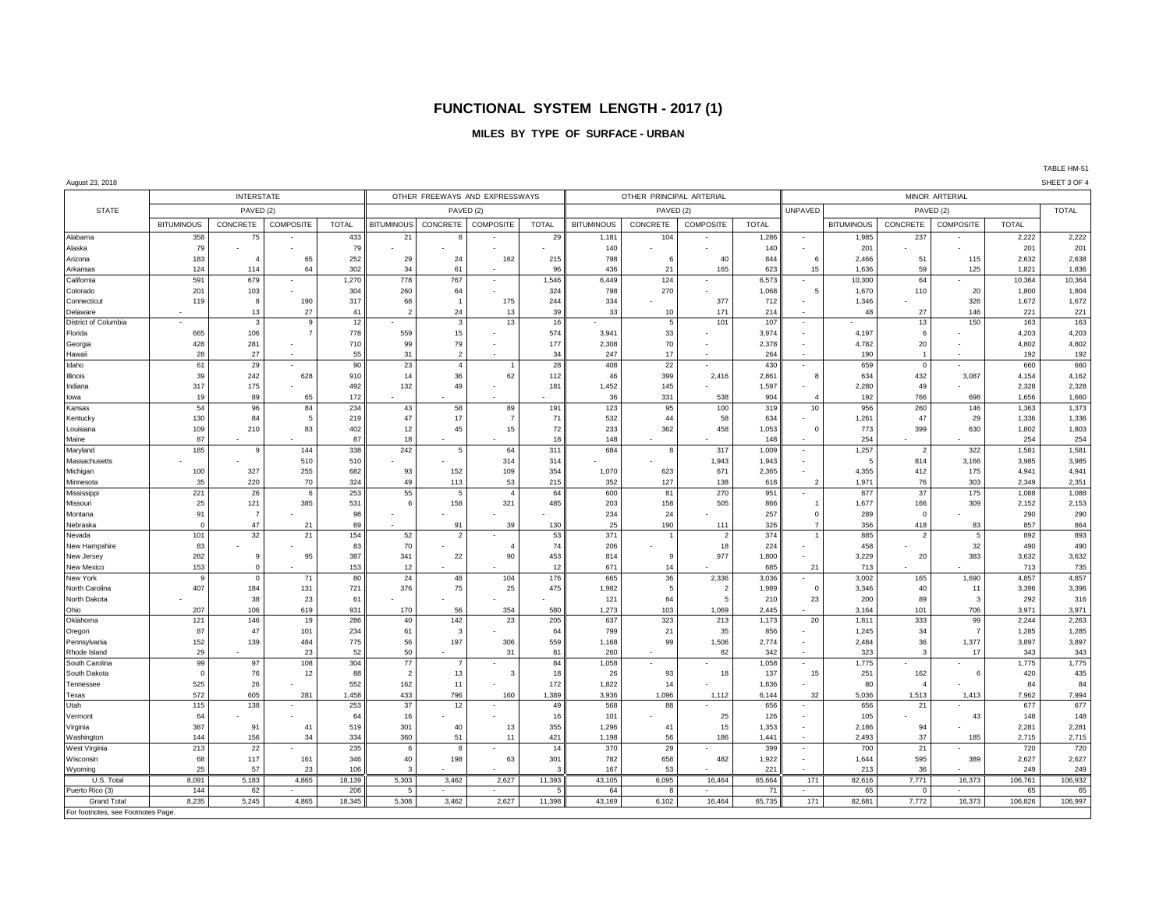### **FUNCTIONAL SYSTEM LENGTH - 2017 (1)**

#### **MILES BY TYPE OF SURFACE - URBAN**

TABLE HM-51

August 23, 2018 SHEET 3 OF 4 INTERSTATE OTHER FREEWAYS AND EXPRESSWAYS OTHER PRINCIPAL ARTERIAL MINOR ARTERIAL STATE PAVED (2) PAVED (2) PAVED (2) UNPAVED PAVED (2) TOTAL BITUMINOUS | CONCRETE | COMPOSITE | TOTAL || BITUMINOUS | CONCRETE | COMPOSITE | COMPOSITE | COMPOSITE | COMPOSITE | COMPOSITE | COMPOSITE | TOTAL || CONCRETE | COMPOSITE | COMPOSITE | TOTAL || COMPOSITE | COMPOSITE | TOTA Alabama | 358 |75 - | 433 || 21 |8 - | 29 || 1,181 || 104 | | 1,286 || | 1,985 || 237 || 2,222 || 2,222 || 2,22 Alaska | 79 - | - | 79 - | - | - | - | 140 | - | - | 140 || - | - | 201 | - | - 201 | 201 Arizona | 183 | 4 65 |252 || 29 | 24 | 162 | 215 | 798 | 6 | 40 | 844 || 6 | 2,466 | 51 | 115 | 2,632 | 2,638 Arkansas | 124 114 64 302 34 61 - 96 436 21 165 623 15 1,636 59 125 1,836 1,837 1,836 California | 591 | 679 - | 1,270 || 778 | 767 - | 1,546 6,449 | 124 | | 6,573 || - | 10,300 | 64 - | 10,364 10,364 Colorado | 201 | 103 - | 304 || 260 | 64 - | 324 798 | 270 - | 1,068 || 5 1,670 | 110 | 20 | 1,800 | 1,804 Connecticut | 119 8 190 317 68 1 175 244 334 - 377 712 - 1,346 - 326 1,672 1,672 Delaware | - | 13 | 27 | 41 || 2 | 24 | 13 | 39 | 13 | 171 | 214 | - | 48 | 27 | 146 | 221 | 221 District of Columbia | - | 3 | 9 | 12 || - | 3 | 13 | 16 | - | 5 | 101 | 107 || - | - | 13 | 150 | 163 | 163 Florida | 665 | 106 | 7 | 778 || 559 | 15 | - | 574 | 3,941 | 33 | - | 3,974 || - | 4,197 | 6 - | 4,203 | 4,203 Georgia | 428 281 - 710 99 79 - 177 2,308 70 - 2,378 - 4,782 20 - 4,802 4,802 4,802 Hawaii | 28 | 27 | 51 | 31 | 2 | 34 | 247 | 17 | 264 | 190 | 1 | 192 | 192 Idaho | 61 29 - | 90 | 23 | 4 | 1 | 28 | 408 | 22 | - | 430 || - | 659 | 0 - | 660 | 660 Illinois 39 242 628 910 14 36 62 112 46 399 2,416 2,861 8 634 432 3,087 4,154 4,162 Indiana | 317 | 175 - | 492 || 132 | 49 - | 181 | 1,452 | 145 | - | 1,597 || - | 2,280 | - 49 - | 2,328 | 2,328 Iowa | 19 89 65 172 - | - | - | 36 331 538 904 4 192 766 698 1,660 1,660 Kansas | 54 96 84 234 43 58 89 191 123 95 100 319 10 956 260 146 1,363 1,373 Kentucky | 130 | 84 5 |219 || 47 | 17 | 71 | 532 | 44 | 58 | 634 | - | 1,261 | 47 | 29 | 1,336 | 1,336 Louisiana | 109 | 210 | 83 | 402 || 12 | 45 | 15 | 72 | 233 | 362 | 458 1,053 || 0 | 773 | 399 | 630 | 1,802 | 1,803 Maine | 87 - | 87 | 87 | 18 | 19 | 19 | 19 | 19 | 19 | 19 | 254 | 254 | 254 | 254 Maryland | 185 9 144 338 242 5 64 311 684 8 317 1,009 - 1,257 2 322 1,581 1,581 Massachusetts | - | - | 510 | 510 | - | - | 314 | - | - | - | 1,943 | 1,943 | - | 5 | 814 | 3,166 | 3,985 | 3,985 Michigan | 100 | 327 | 255 | 682 || 93 | 152 | 109 | 354 1,070 | 623 | 671 | 2,365 || - | 4,355 | 412 | 175 | 4,941 | 4,941 Minnesota | 35 |220 |70 |324 ||49 |113 | 53 |215 | 352 | 127 | 138 | 618 || 2 | 1,971 | 76 | 303 | 2,349 | 2,351 Mississippi | 221 | 26 6 253 || 55 5 4 64 600 81 270 951 - 877 37 175 1,088 1,088 Missouri | 25 121 385 531 6 158 321 485 203 158 505 866 1 1,677 166 309 2,152 2,153 Montana 91 7 - 98 - - - - 234 24 - 257 0 289 0 - 290 290 Nebraska | 0 47 21 69∥ - | 91 39 130 25 190 111 326 7 356 418 83 857 864 Nevada | 101 | 32 | 21 | 154 || 52 | - | 53 || 371 | 1 | 2 | 374 || 1 | 885 | 2 | 5 | 892 | 893 New Hampshire | 83 |- |- | 83 || 70 |- | 4 | 74 || 206 |- | 18 || 224 ||- || 458 |- || 32 || 490 || 490 New Jersey | 282 | 9 95 387 341 22 90 453 814 9 977 1,800 - 3229 20 383 3,632 3,632 New Mexico | 153 | 0 | 153 || 12 | | | 12 | 671 | 14 - | 685 || 21 | 713 | - | 713 | 735 New York | 9 | 0 | 71 | 80 || 24 | 48 | 104 | 176 || 665 | 2,336 3,036 || 9,002 | 165 1,690 | 4,857 | 4,857 4, NorthCarolina | 407 | 184 131 | 721 || 376 | 75 | 25 | 475 | 1,982 | 5 | 2 | 1,989 || 0 | 3,346 | 40 | 11 | 3,396 | 3,396 North Dakota | - | 38 | 23| 61 || - | - | - | - | 121 | 84 | 5 | 210 || 23 | 200 | 89 | 3 | 292 | 316 Ohio | 207 | 106 619 931 || 170 | 56 | 354 580 1,273 | 103 | 1,069 2,445 || | 3,164 101 706 3,971 3,971 3,971 Oklahoma | 121 |146 19 286 | 40 142 23 205 637 323 213 1,173 20 1,811 333 99 2,244 2,263 Oregon | 87 47 101 234 61 3 - 64 799 21 35 856 - 1,245 34 7 1,285 1,285 Pennsylvania | 152| 139| 484| 775|| 56| 197| 306| 559| 1,168| 99| 1,506| 2,774|| -| 2,484| 36| 1,377| 3,897| 3,897 Rhode Island | 29 | - | 23 | 52 || 50 | - | 31 | 81 || 260 | - | 82 || 342 || - | 323 || 3 || 3143 || 343 || 3 South Carolina | 99 97 108 304 77 7 - 84 1,058 - 1 - 1,058 - 1,775 - 1,775 1,775 1,775 South Dakota | 0 76 12 88 2 13 13 3 18 26 93 18 17 17 15 251 162 6 420 435 Tennessee | 525 |26 - |552 || 162 | 11 - | 172 || 1,822 | 14 | | 1,836 || - | 80 | | 4 | - | 84 | 84 Texas | 572 | 605 281 1,458 433 796 160 1,389 3,936 1,096 1,112 6,144 32 5,036 1,513 1,413 7,962 7,994 Utah | 115 | 138 - | 253 || 37 | 12 | - | 49 || 568 || - 88 || - || 656 || - || - || - || 677 || 677 Vermont | 64 - | - | 64 | 16 - | - | 16 | 101 | - | 25 | 126 | - | 105 | - | 43 | 148 | 148 Virginia | 387 |91 |41 519 |301 |40 13 355 1,296 41 15 1,353 |- 2,186 94 - 2,281 2,281 2,281 Washington | 144| 156| 34| 334|| 360| 51| 11| 421| 1,198| 56| 186| 1,441|| | 2,493| 37| 185| 2,715| 2,715 WestVirginia | 213 | 22 | - | 235 || 6 | 8 | - | 14 | 370 | 29 | - | 399 || - | 700 | 21 | - | 720 | 720 Wisconsin | 68 117 161 346 40 198 63 301 782 658 482 1,922 - 1,644 595 389 2,627 2,627 Wyoming | 25| 57| 23| 106|| 3| | | 3| 167| 53| | | 221|| | 213| 36| | | 249| 249 U.S. Total | 8,091 | 5,183 | 4,865 18,139 5,303 3,462 2,627 11,393 43,105 6,095 16,464 65,664 171 82,616 7,771 16,373 106,761 106,932 Puerto Rico (3) | 144 | 62 - | 206 || 5 | - | - | 5 || 64 | 8 | - | 71 || - | 65 | 0 | - | 65 | 65 Grand Total | 8,235 | 5,245 4,865 18,345 5,308 3,462 2,627 11,398 43,169 6,102 16,464 65,735 171 82,681 7,772 16,373 106,826 106,997

For footnotes, see Footnotes Page.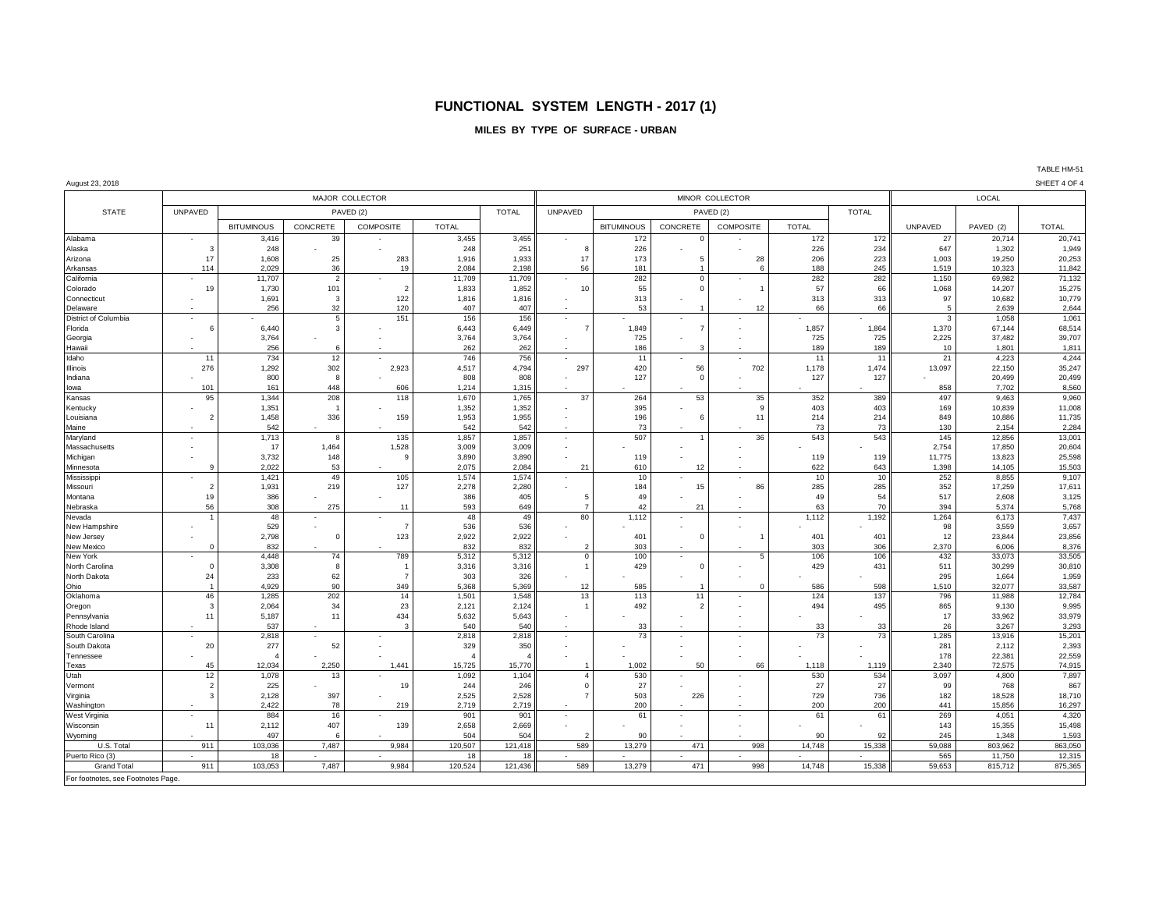## **FUNCTIONAL SYSTEM LENGTH - 2017 (1)**

#### **MILES BY TYPE OF SURFACE - URBAN**

#### August 23, 2018 SHEET 4 OF 4

|                                    | MAJOR COLLECTOR          |                       |                          |                  |                       |              |                          |                           | MINOR COLLECTOR          | LOCAL                          |              |                |             |                  |                  |
|------------------------------------|--------------------------|-----------------------|--------------------------|------------------|-----------------------|--------------|--------------------------|---------------------------|--------------------------|--------------------------------|--------------|----------------|-------------|------------------|------------------|
| <b>STATE</b>                       | <b>UNPAVED</b>           |                       |                          | PAVED (2)        |                       | <b>TOTAL</b> | <b>UNPAVED</b>           | PAVED (2)<br><b>TOTAL</b> |                          |                                |              |                |             |                  |                  |
|                                    |                          | <b>BITUMINOUS</b>     | CONCRETE                 | <b>COMPOSITE</b> | <b>TOTAL</b>          |              |                          | <b>BITUMINOUS</b>         | CONCRETE                 | <b>COMPOSITE</b>               | <b>TOTAL</b> |                | UNPAVED     | PAVED (2)        | <b>TOTAL</b>     |
| Alabama                            |                          | 3,416                 | 39                       |                  | 3,455                 | 3,455        |                          | 172                       |                          |                                | 172          | 172            | 27          | 20,714           | 20,741           |
| Alaska                             | 2                        | 248                   |                          |                  | 248                   | 251          | F                        | 226                       |                          |                                | 226          | 234            | 647         | 1,302            | 1,949            |
| Arizona                            | 17                       | 1,608                 | 25                       | 283              | 1,916                 | 1,933        | 17                       | 173                       |                          | 28                             | 206          | 223            | 1,003       | 19,250           | 20,253           |
| Arkansas                           | 114                      | 2,029                 | 36                       | 19               | 2,084                 | 2,198        | 56                       | 181                       |                          | -6                             | 188          | 245            | 1,519       | 10,323           | 11,842           |
| California                         |                          | 11,707                | $\overline{2}$           |                  | 11,709                | 11,709       |                          | 282                       | $\mathbf 0$              |                                | 282          | 282            | 1,150       | 69.982           | 71,132           |
| Colorado                           | 19                       | 1,730                 | 101                      | $\overline{2}$   | 1,833                 | 1,852        | 10                       | 55                        | $\sqrt{2}$               |                                | 57           | 66             | 1,068       | 14,207           | 15,275           |
| Connecticut                        | $\overline{\phantom{a}}$ | 1,691                 | 3                        | 122              | 1,816                 | 1,816        |                          | 313                       |                          |                                | 313          | 313            | 97          | 10,682           | 10,779           |
| Delaware                           |                          | 256                   | 32                       | 120              | 407                   | 407          |                          | 53                        |                          | 12                             | 66           | 66             | 5           | 2,639            | 2,644            |
| District of Columbia               |                          |                       | $5\overline{5}$          | 151              | 156                   | 156          | $\overline{a}$           |                           | $\overline{a}$           |                                |              |                | 3           | 1,058            | 1,061            |
| Florida                            |                          | 6,440                 | 3                        |                  | 6,443                 | 6,449        |                          | 1,849<br>725              |                          |                                | 1,857<br>725 | 1,864<br>725   | 1,370       | 67,144<br>37,482 | 68,514<br>39,707 |
| Georgia<br>Hawaii                  | $\overline{\phantom{a}}$ | 3,764<br>256          | 6                        |                  | 3,764<br>262          | 3,764<br>262 | $\sim$                   | 186                       | 2                        |                                | 189          | 189            | 2,225<br>10 | 1.801            | 1,811            |
| Idaho                              | 11                       | 734                   | 12                       |                  | 746                   | 756          | $\overline{a}$           | 11                        |                          | $\sim$                         | 11           | 11             | 21          | 4,223            | 4,244            |
| Illinois                           | 276                      | 1,292                 | 302                      | 2,923            | 4,517                 | 4,794        | 297                      | 420                       | 56                       | 702                            | 1,178        | 1,474          | 13,097      | 22,150           | 35,247           |
| Indiana                            |                          | 800                   | 8                        |                  | 808                   | 808          |                          | 127                       | $\Omega$                 |                                | 127          | 127            |             | 20,499           | 20,499           |
| lowa                               | 101                      | 161                   | 448                      | 606              | 1,214                 | 1,315        |                          |                           |                          |                                |              |                | 858         | 7,702            | 8,560            |
| Kansas                             | 95                       | 1,344                 | 208                      | 118              | 1,670                 | 1,765        | 37                       | 264                       | 53                       | 35                             | 352          | 389            | 497         | 9,463            | 9,960            |
| Kentucky                           |                          | 1,351                 | -1                       |                  | 1,352                 | 1,352        |                          | 395                       |                          | 9                              | 403          | 403            | 169         | 10,839           | 11,008           |
| Louisiana                          | 2                        | 1,458                 | 336                      | 159              | 1,953                 | 1,955        |                          | 196                       | 6                        | 11                             | 214          | 214            | 849         | 10,886           | 11,735           |
| Maine                              |                          | 542                   |                          |                  | 542                   | 542          | $\overline{\phantom{a}}$ | 73                        |                          |                                | 73           | 73             | 130         | 2,154            | 2,284            |
| Maryland                           |                          | 1,713                 | 8                        | 135              | 1,857                 | 1,857        | $\overline{a}$           | 507                       |                          | 36                             | 543          | 543            | 145         | 12,856           | 13,001           |
| Massachusetts                      |                          | 17                    | 1,464                    | 1,528            | 3,009                 | 3,009        | $\sim$                   |                           |                          |                                |              |                | 2,754       | 17,850           | 20,604           |
| Michigan                           |                          | 3,732                 | 148                      | 9                | 3,890                 | 3,890        |                          | 119                       |                          |                                | 119          | 119            | 11,775      | 13,823           | 25,598           |
| Minnesota                          |                          | 2.022                 | 53                       |                  | 2.075                 | 2,084        | 21                       | 610                       | 12                       |                                | 622          | 643            | 1,398       | 14,105           | 15,503           |
| Mississippi                        |                          | 1,421                 | 49                       | 105              | 1,574                 | 1,574        |                          | 10                        |                          |                                | 10           | 10             | 252         | 8,855            | 9,107            |
| Missouri                           | 2                        | 1,931                 | 219                      | 127              | 2,278                 | 2,280        |                          | 184                       | 15                       | 86<br>$\overline{\phantom{a}}$ | 285          | 285            | 352         | 17,259           | 17,611           |
| Montana                            | 19<br>56                 | 386<br>308            | 275                      | 11               | 386<br>593            | 405<br>649   | - 5<br>7                 | 49<br>42                  | 21                       |                                | 49<br>63     | 54<br>70       | 517<br>394  | 2,608<br>5,374   | 3,125<br>5,768   |
| Nebraska<br>Nevada                 |                          | 48                    |                          |                  | 48                    | 49           | 80                       | 1,112                     |                          |                                | 1,112        | 1,192          | 1,264       | 6,173            | 7,437            |
| New Hampshire                      |                          | 529                   |                          | $\overline{7}$   | 536                   | 536          |                          |                           | $\overline{\phantom{a}}$ |                                |              |                | 98          | 3,559            | 3,657            |
| New Jersey                         |                          | 2,798                 | $\mathbf 0$              | 123              | 2,922                 | 2,922        |                          | 401                       | $\Omega$                 |                                | 401          | 401            | 12          | 23.844           | 23,856           |
| New Mexico                         |                          | 832                   |                          |                  | 832                   | 832          |                          | 303                       |                          |                                | 303          | 306            | 2,370       | 6.006            | 8,376            |
| New York                           |                          | 4,448                 | 74                       | 789              | 5,312                 | 5,312        | $\Omega$                 | 100                       | $\overline{\phantom{a}}$ |                                | 106          | 106            | 432         | 33,073           | 33,505           |
| North Carolina                     | c                        | 3,308                 | 8                        | $\overline{1}$   | 3,316                 | 3,316        |                          | 429                       | $\Omega$                 |                                | 429          | 431            | 511         | 30,299           | 30,810           |
| North Dakota                       | 24                       | 233                   | 62                       | $\overline{7}$   | 303                   | 326          |                          |                           | ÷                        |                                |              |                | 295         | 1,664            | 1,959            |
| Ohio                               | ٠                        | 4,929                 | 90                       | 349              | 5,368                 | 5,369        | 12                       | 585                       |                          |                                | 586          | 598            | 1,510       | 32,077           | 33,587           |
| Oklahoma                           | 46                       | 1,285                 | 202                      | 14               | 1,501                 | 1,548        | 13                       | 113                       | 11                       |                                | 124          | 137            | 796         | 11,988           | 12,784           |
| Oregon                             | -3                       | 2,064                 | 34                       | 23               | 2,121                 | 2,124        |                          | 492                       | $\overline{\phantom{a}}$ |                                | 494          | 495            | 865         | 9,130            | 9,995            |
| Pennsylvania                       | 11                       | 5,187                 | 11                       | 434              | 5,632                 | 5,643        | $\overline{\phantom{a}}$ |                           | $\sim$                   | $\overline{\phantom{a}}$       |              |                | 17          | 33,962           | 33,979           |
| Rhode Island                       |                          | 537                   |                          | $\mathbf{B}$     | 540                   | 540          |                          | 33                        |                          |                                | 33           | 33             | 26          | 3,267            | 3,293            |
| South Carolina                     |                          | 2,818                 | $\overline{\phantom{a}}$ |                  | 2,818                 | 2,818        | $\overline{\phantom{a}}$ | 73                        | $\overline{\phantom{a}}$ |                                | 73           | 73             | 1,285       | 13,916           | 15,201           |
| South Dakota<br>Tennessee          | 20                       | 277<br>$\overline{4}$ | 52                       |                  | 329<br>$\overline{4}$ | 350          |                          |                           |                          |                                |              |                | 281<br>178  | 2,112<br>22,381  | 2,393<br>22,559  |
| Texas                              | 45                       | 12.034                | 2.250                    | 1.441            | 15.725                | 15,770       |                          | 1.002                     | 50                       | 66                             | 1.118        | 1.119          | 2.340       | 72.575           | 74,915           |
| Utah                               | 12                       | 1,078                 | 13                       |                  | 1,092                 | 1,104        |                          | 530                       | $\sim$                   |                                | 530          | 534            | 3,097       | 4,800            | 7,897            |
| Vermont                            | -2                       | 225                   |                          | 19               | 244                   | 246          | C                        | 27                        |                          |                                | 27           | 27             | 99          | 768              | 867              |
| Virginia                           | 3                        | 2,128                 | 397                      |                  | 2,525                 | 2,528        |                          | 503                       | 226                      | $\sim$                         | 729          | 736            | 182         | 18,528           | 18,710           |
| Washington                         |                          | 2,422                 | 78                       | 219              | 2,719                 | 2,719        |                          | 200                       |                          |                                | 200          | 200            | 441         | 15,856           | 16,297           |
| West Virginia                      |                          | 884                   | 16                       |                  | 901                   | 901          | $\overline{\phantom{a}}$ | 61                        | $\overline{\phantom{a}}$ |                                | 61           | 6'             | 269         | 4,051            | 4,320            |
| Wisconsin                          | 11                       | 2,112                 | 407                      | 139              | 2,658                 | 2,669        | $\overline{\phantom{a}}$ |                           |                          |                                |              |                | 143         | 15.355           | 15,498           |
| Wyoming                            |                          | 497                   | 6                        |                  | 504                   | 504          | 2                        | 90                        |                          |                                | 90           | 92             | 245         | 1.348            | 1,593            |
| U.S. Total                         | 911                      | 103,036               | 7,487                    | 9,984            | 120,507               | 121,418      | 589                      | 13,279                    | 471                      | 998                            | 14,748       | 15,338         | 59,088      | 803,962          | 863,050          |
| Puerto Rico (3)                    | $\sim$                   | 18                    | $\sim$                   | $\sim$           | 18                    | 18           | $\sim$                   | $\sim$                    | $\sim$                   | $\sim$                         |              | $\blacksquare$ | 565         | 11,750           | 12,315           |
| <b>Grand Total</b>                 | 911                      | 103,053               | 7,487                    | 9.984            | 120,524               | 121,436      | 589                      | 13,279                    | 471                      | 998                            | 14,748       | 15,338         | 59,653      | 815,712          | 875,365          |
| For footnotes, see Footnotes Page. |                          |                       |                          |                  |                       |              |                          |                           |                          |                                |              |                |             |                  |                  |

TABLE HM-51